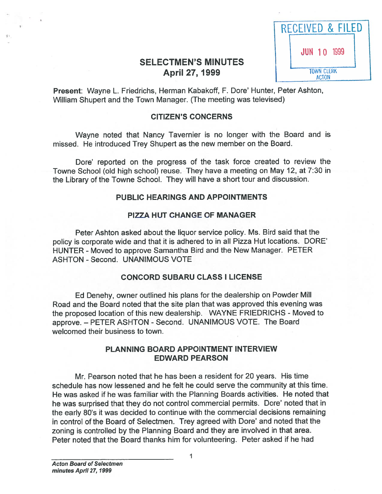| RECEIVED & FILED |                                   |
|------------------|-----------------------------------|
|                  | <b>JUN 10 1999</b>                |
|                  | <b>TOWN CLERK</b><br><b>ACTON</b> |

# **SELECTMEN'S MINUTES** April 27, 1999

Present: Wayne L. Friedrichs, Herman Kabakoff, F. Dore' Hunter, Peter Ashton, William Shupert and the Town Manager. (The meeting was televised)

## CITIZEN'S CONCERNS

Wayne noted that Nancy Tavernier is no longer with the Board and is missed. He introduced Trey Shupert as the new member on the Board.

Dare' reported on the progress of the task force created to review the Towne School (old high school) reuse. They have <sup>a</sup> meeting on May 12, at 7:30 in the Library of the Towne School. They will have <sup>a</sup> short tour and discussion.

### PUBLIC HEARINGS AND APPOINTMENTS

## PIZZA HUT CHANGE OF MANAGER

Peter Ashton asked about the liquor service policy. Ms. Bird said that the policy is corporate wide and that it is adhered to in all Pizza Hut locations. DORE' HUNTER - Moved to approve Samantha Bird and the New Manager. PETER ASHTON - Second. UNANIMOUS VOTE

### CONCORD SUBARU CLASS I LICENSE

Ed Denehy, owner outlined his <sup>p</sup>lans for the dealership on Powder Mill Road and the Board noted that the site plan that was approved this evening was the proposed location of this new dealership. WAYNE FRIEDRICHS - Moved to approve. – PETER ASHTON - Second. UNANIMOUS VOTE. The Board welcomed their business to town.

## PLANNING BOARD APPOINTMENT INTERVIEW EDWARD PEARSON

Mr. Pearson noted that he has been <sup>a</sup> resident for 20 years. His time schedule has now lessened and he felt he could serve the community at this time. He was asked if he was familiar with the Planning Boards activities. He noted that he was surprised that they do not control commercial permits. Dare' noted that in the early 80's it was decided to continue with the commercial decisions remaining in control of the Board of Selectmen. Trey agreed with Dare' and noted that the zoning is controlled by the Planning Board and they are involved in that area. Peter noted that the Board thanks him for volunteering. Peter asked if he had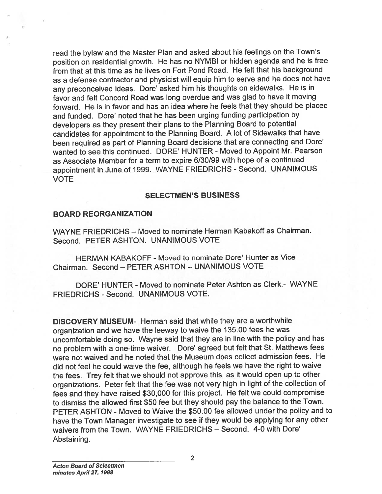read the bylaw and the Master Plan and asked about his feelings on the Town's position on residential growth. He has no NYMBI or hidden agenda and he is free from that at this time as he lives on Fort Pond Road. He felt that his background as <sup>a</sup> defense contractor and <sup>p</sup>hysicist will equip him to serve and he does not have any preconceived ideas. Dore' asked him his thoughts on sidewalks. He is in favor and felt Concord Road was long overdue and was <sup>g</sup>lad to have it moving forward. He is in favor and has an idea where he feels that they should be placed and funded. Dore' noted that he has been urging funding participation by developers as they presen<sup>t</sup> their <sup>p</sup>lans to the Planning Board to potential candidates for appointment to the Planning Board. <sup>A</sup> lot of Sidewalks that have been required as par<sup>t</sup> of Planning Board decisions that are connecting and Dore' wanted to see this continued. DORE' HUNTER - Moved to Appoint Mr. Pearson as Associate Member for <sup>a</sup> term to expire 6/30/99 with hope of <sup>a</sup> continued appointment in June of 1999. WAYNE FRIEDRICHS - Second. UNANIMOUS VOTE

#### SELECTMEN'S BUSINESS

#### BOARD REORGANIZATION

WAYNE FRIEDRICHS — Moved to nominate Herman Kabakoff as Chairman. Second. PETER ASHTON. UNANIMOUS VOTE

HERMAN KABAKOFF -Moved to nominate Dore' Hunter as Vice Chairman. Second — PETER ASHTON — UNANIMOUS VOTE

DORE' HUNTER - Moved to nominate Peter Ashton as Clerk- WAYNE FRIEDRICHS - Second. UNANIMOUS VOTE.

DISCOVERY MUSEUM- Herman said that while they are <sup>a</sup> worthwhile organization and we have the leeway to waive the 135.00 fees he was uncomfortable doing so. Wayne said that they are in line with the policy and has no problem with <sup>a</sup> one-time waiver. Dore' agree<sup>d</sup> but felt that St. Matthews fees were not waived and he noted that the Museum does collect admission fees. He did not feel he could waive the fee, although he feels we have the right to waive the fees. Trey felt that we should not approve this, as it would open up to other organizations. Peter felt that the fee was not very high in light of the collection of fees and they have raised \$30,000 for this project. He felt we could compromise to dismiss the allowed first \$50 fee but they should pay the balance to the Town. PETER ASHTON - Moved to Waive the \$50.00 fee allowed under the policy and to have the Town Manager investigate to see if they would be applying for any other waivers from the Town. WAYNE FRIEDRICHS - Second. 4-0 with Dore' Abstaining.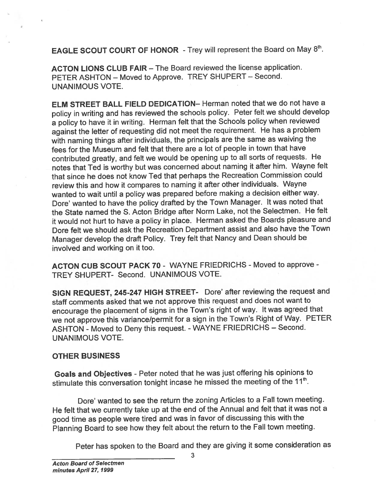EAGLE SCOUT COURT OF HONOR - Trey will represent the Board on May 8<sup>th</sup>.

ACTON LIONS CLUB FAIR — The Board reviewed the license application. PETER ASHTON — Moved to Approve. TREY SHUPERT — Second. UNANIMOUS VOTE.

ELM STREET BALL FIELD DEDICATION— Herman noted that we do not have <sup>a</sup> policy in writing and has reviewed the schools policy. Peter felt we should develop <sup>a</sup> policy to have it in writing. Herman felt that the Schools policy when reviewed against the letter of requesting did not meet the requirement. He has <sup>a</sup> problem with naming things after individuals, the principals are the same as waiving the fees for the Museum and felt that there are <sup>a</sup> lot of people in town that have contributed greatly, and felt we would be opening up to all sorts of requests. He notes that Ted is worthy but was concerned about naming it after him. Wayne felt that since he does not know Ted that perhaps the Recreation Commission could review this and how it compares to naming it after other individuals. Wayne wanted to wait until <sup>a</sup> policy was prepare<sup>d</sup> before making <sup>a</sup> decision either way. Dote' wanted to have the policy drafted by the Town Manager. It was noted that the State named the S. Acton Bridge after Norm Lake, not the Selectmen. He felt it would not hurt to have <sup>a</sup> policy in <sup>p</sup>lace. Herman asked the Boards <sup>p</sup>leasure and Dore felt we should ask the Recreation Department assist and also have the Town Manager develop the draft Policy. Trey felt that Nancy and Dean should be involved and working on it too.

ACTON CUB SCOUT PACK 70- WAYNE FRIEDRICHS - Moved to approve - TREY SHUPERT- Second. UNANIMOUS VOTE.

StGN REQUEST, 245-247 HIGH STREET- Dore' after reviewing the reques<sup>t</sup> and staff comments asked that we not approve this reques<sup>t</sup> and does not want to encourage the <sup>p</sup>lacement of signs in the Town's right of way. It was agree<sup>d</sup> that we not approve this variance/permit for <sup>a</sup> sign in the Town's Right of Way. PETER ASHTON - Moved to Deny this request. -WAYNE FRIEDRICHS — Second. UNANIMOUS VOTE.

# OTHER BUSINESS

Goals and Objectives - Peter noted that he was just offering his opinions to stimulate this conversation tonight incase he missed the meeting of the  $11<sup>th</sup>$ .

Dore' wanted to see the return the zoning Articles to <sup>a</sup> Fall town meeting. He felt that we currently take up at the end of the Annual and felt that it was not <sup>a</sup> goo<sup>d</sup> time as people were tired and was in favor of discussing this with the Planning Board to see how they felt about the return to the Fall town meeting.

Peter has spoken to the Board and they are <sup>g</sup>iving it some consideration as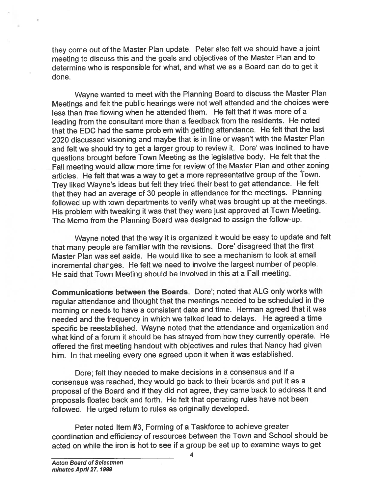they come out of the Master Plan update. Peter also felt we should have <sup>a</sup> joint meeting to discuss this and the goals and objectives of the Master Plan and to determine who is responsible for what, and what we as <sup>a</sup> Board can do to ge<sup>t</sup> it done.

Wayne wanted to meet with the Planning Board to discuss the Master Plan Meetings and felt the public hearings were not well attended and the choices were less than free flowing when he attended them. He felt that it was more of <sup>a</sup> leading from the consultant more than <sup>a</sup> feedback from the residents. He noted that the EDC had the same problem with getting attendance. He felt that the last <sup>2020</sup> discussed visioning and maybe that is in line or wasn't with the Master Plan and felt we should try to get a larger group to review it. Dore' was inclined to have questions brought before Town Meeting as the legislative body. He felt that the Fall meeting would allow more time for review of the Master Plan and other zoning articles. He felt that was a way to get a more representative group of the Town. Trey liked Wayne's ideas but felt they tried their best to ge<sup>t</sup> attendance. He felt that they had an average of <sup>30</sup> people in attendance for the meetings. Planning followed up with town departments to verify what was brought up at the meetings. His problem with tweaking it was that they were just approve<sup>d</sup> at Town Meeting. The Memo from the Planning Board was designed to assign the follow-up.

Wayne noted that the way it is organized it would be easy to update and felt that many people are familiar with the revisions. Dore' disagreed that the first Master Plan was set aside. He would like to see <sup>a</sup> mechanism to look at small incremental changes. He felt we need to involve the largest number of people. He said that Town Meeting should be involved in this at <sup>a</sup> Fall meeting.

Communications between the Boards. Dore'; noted that ALG only works with regular attendance and thought that the meetings needed to be scheduled in the morning or needs to have <sup>a</sup> consistent date and time. Herman agree<sup>d</sup> that it was needed and the frequency in which we talked lead to delays. He agree<sup>d</sup> <sup>a</sup> time specific be reestablished. Wayne noted that the attendance and organization and what kind of <sup>a</sup> forum it should be has strayed from how they currently operate. He offered the first meeting handout with objectives and rules that Nancy had <sup>g</sup>iven him. In that meeting every one agree<sup>d</sup> upon it when it was established.

Dore; felt they needed to make decisions in <sup>a</sup> consensus and if <sup>a</sup> consensus was reached, they would go back to their boards and pu<sup>t</sup> it as <sup>a</sup> proposa<sup>l</sup> of the Board and if they did not agree, they came back to address it and proposals floated back and forth. He felt that operating rules have not been followed. He urge<sup>d</sup> return to rules as originally developed.

Peter noted Item #3, Forming of <sup>a</sup> Taskforce to achieve greater coordination and efficiency of resources between the Town and School should be acted on while the iron is hot to see if <sup>a</sup> group be set up to examine ways to ge<sup>t</sup>

4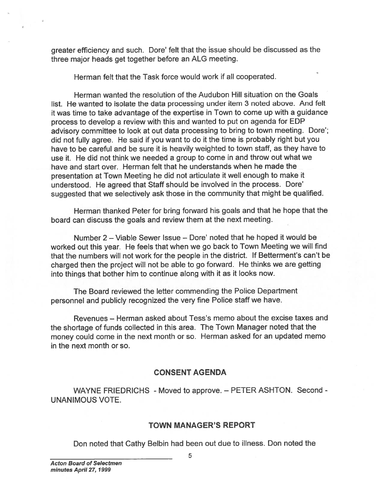greater efficiency and such. Dore' felt that the issue should be discussed as the three major heads ge<sup>t</sup> together before an ALG meeting.

Herman felt that the Task force would work if all cooperated.

Herman wanted the resolution of the Audubon Hill situation on the Goals list. He wanted to isolate the data processing under item 3 noted above. And felt it was time to take advantage of the expertise in Town to come up with <sup>a</sup> guidance process to develop <sup>a</sup> review with this and wanted to pu<sup>t</sup> on agenda for EDP advisory committee to look at out data processing to bring to town meeting. Dore'; did not fully agree. He said if you want to do it the time is probably right but you have to be careful and be sure it is heavily weighted to town staff, as they have to use it. He did not think we needed <sup>a</sup> group to come in and throw out what we have and start over. Herman felt that he understands when he made the presentation at Town Meeting he did not articulate it well enoug<sup>h</sup> to make it understood. He agreed that Staff should be involved in the process. Dote' suggested that we selectively ask those in the community that might be qualified. greater efficiency and such. Dore' felt that the issue should be discussed as the therma net that the Task force would work if all cooperated.<br>
Herman felt that the Task force would work if all cooperated.<br>
It herman wante

Herman thanked Peter for bring forward his goals and that he hope that the board can discuss the goals and review them at the next meeting.

Number 2 — Viable Sewer Issue — Dore' noted that he hoped it would be worked out this year. He feels that when we go back to Town Meeting we will find that the numbers will not work for the people in the district. If Betterment's can't be charged then the project will not be able to go forward. He thinks we are getting into things that bother him to continue along with it as it looks now.

The Board reviewed the letter commending the Police Department personne<sup>l</sup> and publicly recognized the very fine Police staff we have.

Revenues — Herman asked about Tess's memo about the excise taxes and the shortage of funds collected in this area. The Town Manager noted that the money could come in the next month or so. Herman asked for an updated memo in the next month or so.

# CONSENT AGENDA

WAYNE FRIEDRICHS - Moved to approve. — PETER ASHTON. Second - UNANIMOUS VOTE.

### TOWN MANAGER'S REPORT